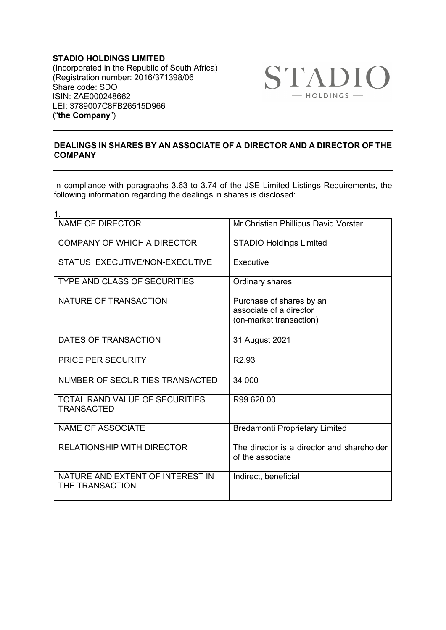**STADIO HOLDINGS LIMITED** (Incorporated in the Republic of South Africa) (Registration number: 2016/371398/06 Share code: SDO ISIN: ZAE000248662 LEI: 3789007C8FB26515D966 ("**the Company**")



## **DEALINGS IN SHARES BY AN ASSOCIATE OF A DIRECTOR AND A DIRECTOR OF THE COMPANY**

In compliance with paragraphs 3.63 to 3.74 of the JSE Limited Listings Requirements, the following information regarding the dealings in shares is disclosed:

| 1.                                                  |                                                                                |
|-----------------------------------------------------|--------------------------------------------------------------------------------|
| <b>NAME OF DIRECTOR</b>                             | Mr Christian Phillipus David Vorster                                           |
| <b>COMPANY OF WHICH A DIRECTOR</b>                  | <b>STADIO Holdings Limited</b>                                                 |
| <b>STATUS: EXECUTIVE/NON-EXECUTIVE</b>              | Executive                                                                      |
| <b>TYPE AND CLASS OF SECURITIES</b>                 | Ordinary shares                                                                |
| NATURE OF TRANSACTION                               | Purchase of shares by an<br>associate of a director<br>(on-market transaction) |
| DATES OF TRANSACTION                                | 31 August 2021                                                                 |
| <b>PRICE PER SECURITY</b>                           | R <sub>2.93</sub>                                                              |
| NUMBER OF SECURITIES TRANSACTED                     | 34 000                                                                         |
| TOTAL RAND VALUE OF SECURITIES<br><b>TRANSACTED</b> | R99 620.00                                                                     |
| <b>NAME OF ASSOCIATE</b>                            | <b>Bredamonti Proprietary Limited</b>                                          |
| <b>RELATIONSHIP WITH DIRECTOR</b>                   | The director is a director and shareholder<br>of the associate                 |
| NATURE AND EXTENT OF INTEREST IN<br>THE TRANSACTION | Indirect, beneficial                                                           |